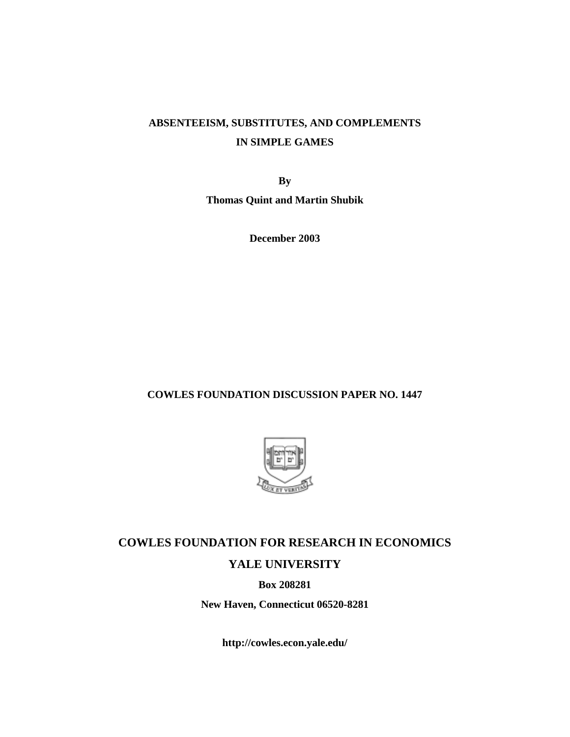## **ABSENTEEISM, SUBSTITUTES, AND COMPLEMENTS IN SIMPLE GAMES**

**By** 

**Thomas Quint and Martin Shubik** 

**December 2003** 

## **COWLES FOUNDATION DISCUSSION PAPER NO. 1447**



## **COWLES FOUNDATION FOR RESEARCH IN ECONOMICS YALE UNIVERSITY**

**Box 208281** 

**New Haven, Connecticut 06520-8281** 

**http://cowles.econ.yale.edu/**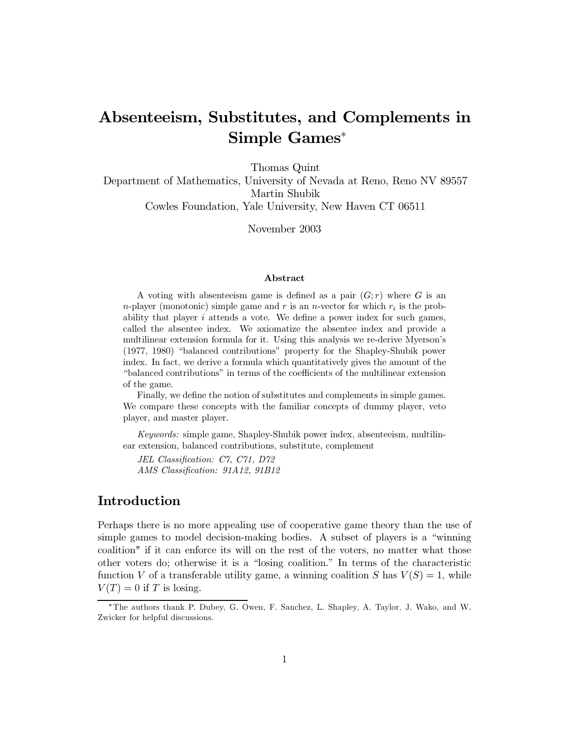# Absenteelism, Substitutes, and Complements in Simple Games<sup>\*</sup>

Thomas Quint

Department of Mathematics, University of Nevada at Reno, Reno NV 89557 Martin Shubik

Cowles Foundation, Yale University, New Haven CT 06511

November 2003

### Abstract

A voting with absenteeism game is defined as a pair  $(G; r)$  where G is an *n*-player (monotonic) simple game and r is an *n*-vector for which  $r_i$  is the probability that player  $i$  attends a vote. We define a power index for such games, called the absentee index. We axiomatize the absentee index and provide a multilinear extension formula for it. Using this analysis we re-derive Myerson's (1977, 1980) "balanced contributions" property for the Shapley-Shubik power index. In fact, we derive a formula which quantitatively gives the amount of the "balanced contributions" in terms of the coefficients of the multilinear extension of the game.

Finally, we define the notion of substitutes and complements in simple games. We compare these concepts with the familiar concepts of dummy player, veto player, and master player.

*Keywords:* simple game, Shapley-Shubik power index, absenteeism, multilinear extension, balanced contributions, substitute, complement

JEL Classification: C7, C71, D72 AMS Classification: 91A12, 91B12

### Introduction

Perhaps there is no more appealing use of cooperative game theory than the use of simple games to model decision-making bodies. A subset of players is a "winning" coalition" if it can enforce its will on the rest of the voters, no matter what those other voters do; otherwise it is a "losing coalition." In terms of the characteristic function V of a transferable utility game, a winning coalition S has  $V(S) = 1$ , while  $V(T) = 0$  if T is losing.

<sup>\*</sup>The authors thank P. Dubey, G. Owen, F. Sanchez, L. Shapley, A. Taylor, J. Wako, and W. Zwicker for helpful discussions.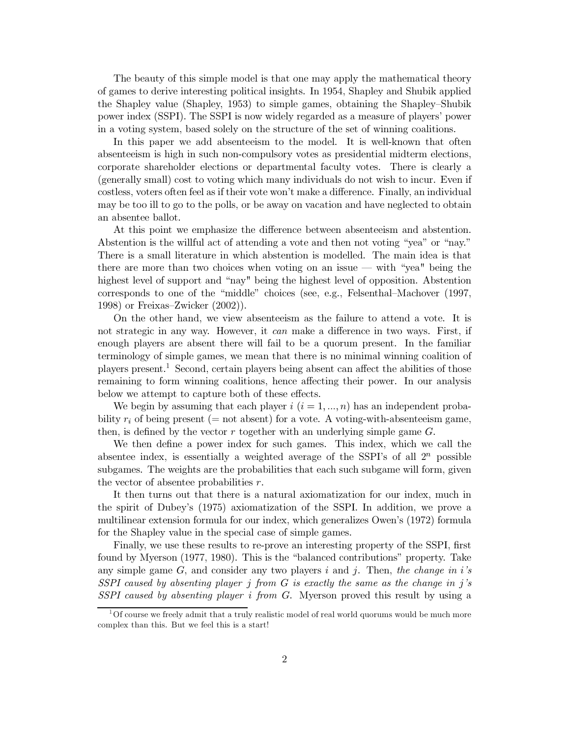The beauty of this simple model is that one may apply the mathematical theory of games to derive interesting political insights. In 1954, Shapley and Shubik applied the Shapley value (Shapley, 1953) to simple games, obtaining the Shapley-Shubik power index (SSPI). The SSPI is now widely regarded as a measure of players' power in a voting system, based solely on the structure of the set of winning coalitions.

In this paper we add absentees in to the model. It is well-known that often absenteelism is high in such non-compulsory votes as presidential midterm elections, corporate shareholder elections or departmental faculty votes. There is clearly a (generally small) cost to voting which many individuals do not wish to incur. Even if costless, voters often feel as if their vote won't make a difference. Finally, an individual may be too ill to go to the polls, or be away on vacation and have neglected to obtain an absentee ballot.

At this point we emphasize the difference between absenteeism and abstention. Abstention is the willful act of attending a vote and then not voting "yea" or "nay." There is a small literature in which abstention is modelled. The main idea is that there are more than two choices when voting on an issue — with "yea" being the highest level of support and "nay" being the highest level of opposition. Abstention corresponds to one of the "middle" choices (see, e.g., Felsenthal–Machover  $(1997, 1997)$ 1998) or Freixas-Zwicker  $(2002)$ .

On the other hand, we view absenteeism as the failure to attend a vote. It is not strategic in any way. However, it can make a difference in two ways. First, if enough players are absent there will fail to be a quorum present. In the familiar terminology of simple games, we mean that there is no minimal winning coalition of players present.<sup>1</sup> Second, certain players being absent can affect the abilities of those remaining to form winning coalitions, hence affecting their power. In our analysis below we attempt to capture both of these effects.

We begin by assuming that each player  $i$   $(i = 1, ..., n)$  has an independent probability  $r_i$  of being present (= not absent) for a vote. A voting-with-absenteeism game, then, is defined by the vector  $r$  together with an underlying simple game  $G$ .

We then define a power index for such games. This index, which we call the absentee index, is essentially a weighted average of the SSPI's of all  $2^n$  possible subgames. The weights are the probabilities that each such subgame will form, given the vector of absentee probabilities  $r$ .

It then turns out that there is a natural axiomatization for our index, much in the spirit of Dubey's (1975) axiomatization of the SSPI. In addition, we prove a multilinear extension formula for our index, which generalizes Owen's (1972) formula for the Shapley value in the special case of simple games.

Finally, we use these results to re-prove an interesting property of the SSPI, first found by Myerson (1977, 1980). This is the "balanced contributions" property. Take any simple game  $G$ , and consider any two players i and j. Then, the change in i's SSPI caused by absenting player  $j$  from  $G$  is exactly the same as the change in  $j$ 's SSPI caused by absenting player i from G. Myerson proved this result by using a

Of course we freely admit that a truly realistic model of real world quorums would be much more complex than this. But we feel this is a start!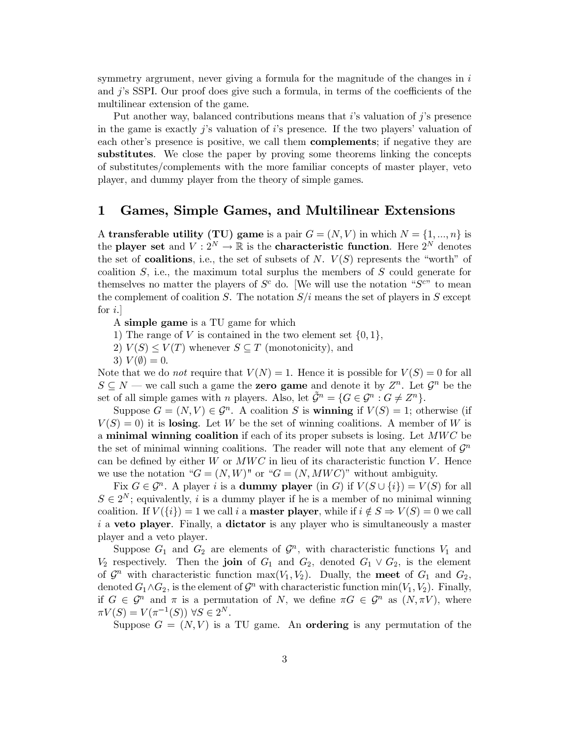symmetry argrument, never giving a formula for the magnitude of the changes in  $i$ and  $j$ 's SSPI. Our proof does give such a formula, in terms of the coefficients of the multilinear extension of the game.

Put another way, balanced contributions means that  $i$ 's valuation of  $j$ 's presence in the game is exactly j's valuation of i's presence. If the two players' valuation of each other's presence is positive, we call them **complements**; if negative they are substitutes. We close the paper by proving some theorems linking the concepts of substitutes/complements with the more familiar concepts of master player, veto player, and dummy player from the theory of simple games.

#### Games, Simple Games, and Multilinear Extensions 1

A transferable utility (TU) game is a pair  $G = (N, V)$  in which  $N = \{1, ..., n\}$  is the player set and  $V: 2^N \to \mathbb{R}$  is the characteristic function. Here  $2^N$  denotes the set of **coalitions**, i.e., the set of subsets of N.  $V(S)$  represents the "worth" of coalition  $S$ , i.e., the maximum total surplus the members of  $S$  could generate for themselves no matter the players of  $S^c$  do. [We will use the notation " $S^{c}$ " to mean the complement of coalition S. The notation  $S/i$  means the set of players in S except for  $i$ .

A simple game is a TU game for which

- 1) The range of V is contained in the two element set  $\{0, 1\}$ ,
- 2)  $V(S) \leq V(T)$  whenever  $S \subseteq T$  (monotonicity), and
- 3)  $V(\emptyset) = 0$ .

Note that we do *not* require that  $V(N) = 1$ . Hence it is possible for  $V(S) = 0$  for all  $S \subseteq N$  — we call such a game the **zero game** and denote it by  $Z^n$ . Let  $\mathcal{G}^n$  be the set of all simple games with *n* players. Also, let  $\tilde{\mathcal{G}}^n = \{G \in \mathcal{G}^n : G \neq Z^n\}.$ 

Suppose  $G = (N, V) \in \mathcal{G}^n$ . A coalition S is **winning** if  $V(S) = 1$ ; otherwise (if  $V(S) = 0$  it is losing. Let W be the set of winning coalitions. A member of W is a minimal winning coalition if each of its proper subsets is losing. Let  $MWC$  be the set of minimal winning coalitions. The reader will note that any element of  $\mathcal{G}^n$ can be defined by either  $W$  or  $MWC$  in lieu of its characteristic function  $V$ . Hence we use the notation " $G = (N, W)$ " or " $G = (N, MWC)$ " without ambiguity.

Fix  $G \in \mathcal{G}^n$ . A player i is a **dummy player** (in G) if  $V(S \cup \{i\}) = V(S)$  for all  $S \in 2^N$ ; equivalently, i is a dummy player if he is a member of no minimal winning coalition. If  $V({i}) = 1$  we call i a **master player**, while if  $i \notin S \Rightarrow V(S) = 0$  we call *i* a **veto player**. Finally, a **dictator** is any player who is simultaneously a master player and a veto player.

Suppose  $G_1$  and  $G_2$  are elements of  $\mathcal{G}^n$ , with characteristic functions  $V_1$  and  $V_2$  respectively. Then the join of  $G_1$  and  $G_2$ , denoted  $G_1 \vee G_2$ , is the element of  $\mathcal{G}^n$  with characteristic function max( $V_1, V_2$ ). Dually, the meet of  $G_1$  and  $G_2$ , denoted  $G_1 \wedge G_2$ , is the element of  $\mathcal{G}^n$  with characteristic function min $(V_1, V_2)$ . Finally, if  $G \in \mathcal{G}^n$  and  $\pi$  is a permutation of N, we define  $\pi G \in \mathcal{G}^n$  as  $(N, \pi V)$ , where  $\pi V(S) = V(\pi^{-1}(S)) \ \forall S \in 2^N$ .

Suppose  $G = (N, V)$  is a TU game. An **ordering** is any permutation of the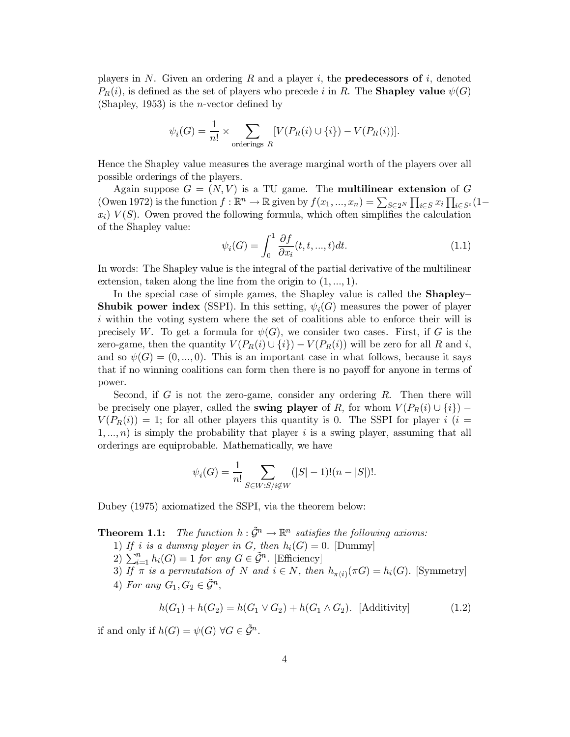players in N. Given an ordering R and a player i, the **predecessors of** i, denoted  $P_R(i)$ , is defined as the set of players who precede i in R. The **Shapley value**  $\psi(G)$ (Shapley, 1953) is the *n*-vector defined by

$$
\psi_i(G) = \frac{1}{n!} \times \sum_{\text{orderings } R} [V(P_R(i) \cup \{i\}) - V(P_R(i))].
$$

Hence the Shapley value measures the average marginal worth of the players over all possible orderings of the players.

Again suppose  $G = (N, V)$  is a TU game. The **multilinear extension** of G (Owen 1972) is the function  $f : \mathbb{R}^n \to \mathbb{R}$  given by  $f(x_1, ..., x_n) = \sum_{S \in \mathcal{P}} \prod_{i \in S} x_i \prod_{i \in S^c} (1$  $x_i$ )  $V(S)$ . Owen proved the following formula, which often simplifies the calculation of the Shapley value:

$$
\psi_i(G) = \int_0^1 \frac{\partial f}{\partial x_i}(t, t, ..., t) dt.
$$
\n(1.1)

In words: The Shapley value is the integral of the partial derivative of the multilinear extension, taken along the line from the origin to  $(1, ..., 1)$ .

In the special case of simple games, the Shapley value is called the **Shapley Shubik power index** (SSPI). In this setting,  $\psi_i(G)$  measures the power of player *i* within the voting system where the set of coalitions able to enforce their will is precisely W. To get a formula for  $\psi(G)$ , we consider two cases. First, if G is the zero-game, then the quantity  $V(P_R(i) \cup \{i\}) - V(P_R(i))$  will be zero for all R and i, and so  $\psi(G) = (0, ..., 0)$ . This is an important case in what follows, because it says that if no winning coalitions can form then there is no payoff for anyone in terms of power.

Second, if G is not the zero-game, consider any ordering R. Then there will be precisely one player, called the swing player of R, for whom  $V(P_R(i) \cup \{i\})$  –  $V(P_R(i)) = 1$ ; for all other players this quantity is 0. The SSPI for player i (i =  $1, ..., n$  is simply the probability that player i is a swing player, assuming that all orderings are equiprobable. Mathematically, we have

$$
\psi_i(G) = \frac{1}{n!} \sum_{S \in W: S/i \notin W} (|S| - 1)!(n - |S|)!.
$$

Dubey (1975) axiomatized the SSPI, via the theorem below:

**Theorem 1.1:** The function  $h: \tilde{\mathcal{G}}^n \to \mathbb{R}^n$  satisfies the following axioms:

- 1) If i is a dummy player in G, then  $h_i(G) = 0$ . [Dummy]
- 2)  $\sum_{i=1}^{n} h_i(G) = 1$  for any  $G \in \tilde{\mathcal{G}}^n$ . [Efficiency]

3) If  $\pi$  is a permutation of N and  $i \in N$ , then  $h_{\pi(i)}(\pi G) = h_i(G)$ . [Symmetry] 4) For any  $G_1, G_2 \in \tilde{\mathcal{G}}^n$ ,

$$
h(G_1) + h(G_2) = h(G_1 \vee G_2) + h(G_1 \wedge G_2). \text{ [Additivity]} \tag{1.2}
$$

if and only if  $h(G) = \psi(G) \,\forall G \in \tilde{\mathcal{G}}^n$ .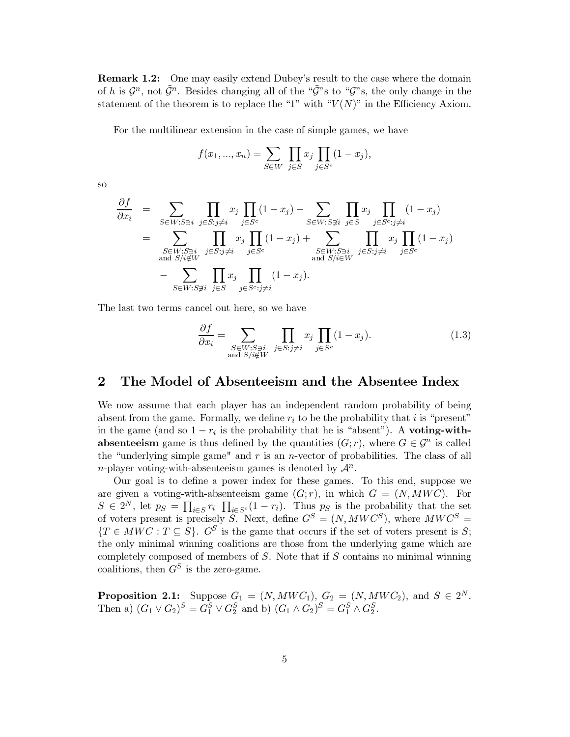**Remark 1.2:** One may easily extend Dubey's result to the case where the domain of h is  $\mathcal{G}^n$ , not  $\tilde{\mathcal{G}}^n$ . Besides changing all of the " $\tilde{\mathcal{G}}$ "s to " $\mathcal{G}$ "s, the only change in the statement of the theorem is to replace the "1" with " $V(N)$ " in the Efficiency Axiom.

For the multilinear extension in the case of simple games, we have

$$
f(x_1, ..., x_n) = \sum_{S \in W} \prod_{j \in S} x_j \prod_{j \in S^c} (1 - x_j).
$$

**SO** 

$$
\frac{\partial f}{\partial x_i} = \sum_{S \in W: S \ni i} \prod_{j \in S: j \neq i} x_j \prod_{j \in S^c} (1 - x_j) - \sum_{S \in W: S \not\ni i} \prod_{j \in S} x_j \prod_{j \in S^c: j \neq i} (1 - x_j)
$$
\n
$$
= \sum_{\substack{S \in W: S \ni i \\ \text{and } S/i \notin W}} \prod_{j \in S: j \neq i} x_j \prod_{j \in S^c} (1 - x_j) + \sum_{\substack{S \in W: S \ni i \\ \text{and } S/i \in W}} \prod_{j \in S: j \neq i} x_j \prod_{j \in S^c} (1 - x_j)
$$
\n
$$
- \sum_{S \in W: S \not\ni i} \prod_{j \in S} x_j \prod_{j \in S^c: j \neq i} (1 - x_j).
$$

The last two terms cancel out here, so we have

$$
\frac{\partial f}{\partial x_i} = \sum_{\substack{S \in W: S \ni i \\ \text{and } S/i \notin W}} \prod_{j \in S: j \neq i} x_j \prod_{j \in S^c} (1 - x_j). \tag{1.3}
$$

#### $\bf{2}$ The Model of Absenteeism and the Absentee Index

We now assume that each player has an independent random probability of being absent from the game. Formally, we define  $r_i$  to be the probability that i is "present" in the game (and so  $1 - r_i$  is the probability that he is "absent"). A voting-with**absenteeism** game is thus defined by the quantities  $(G; r)$ , where  $G \in \mathcal{G}^n$  is called the "underlying simple game" and  $r$  is an *n*-vector of probabilities. The class of all *n*-player voting-with-absenteeism games is denoted by  $\mathcal{A}^n$ .

Our goal is to define a power index for these games. To this end, suppose we are given a voting-with-absenteeism game  $(G; r)$ , in which  $G = (N, MWC)$ . For  $S \in 2^N$ , let  $p_S = \prod_{i \in S} r_i \prod_{i \in S^c} (1 - r_i)$ . Thus  $p_S$  is the probability that the set of voters present is precisely S. Next, define  $G^S = (N, MWC^S)$ , where  $MWC^S =$  ${T \in MWC : T \subseteq S}$ .  $G^S$  is the game that occurs if the set of voters present is S; the only minimal winning coalitions are those from the underlying game which are completely composed of members of  $S$ . Note that if  $S$  contains no minimal winning coalitions, then  $G^S$  is the zero-game.

**Proposition 2.1:** Suppose  $G_1 = (N, MWC_1), G_2 = (N, MWC_2),$  and  $S \in 2^N$ .<br>Then a)  $(G_1 \vee G_2)^S = G_1^S \vee G_2^S$  and b)  $(G_1 \wedge G_2)^S = G_1^S \wedge G_2^S$ .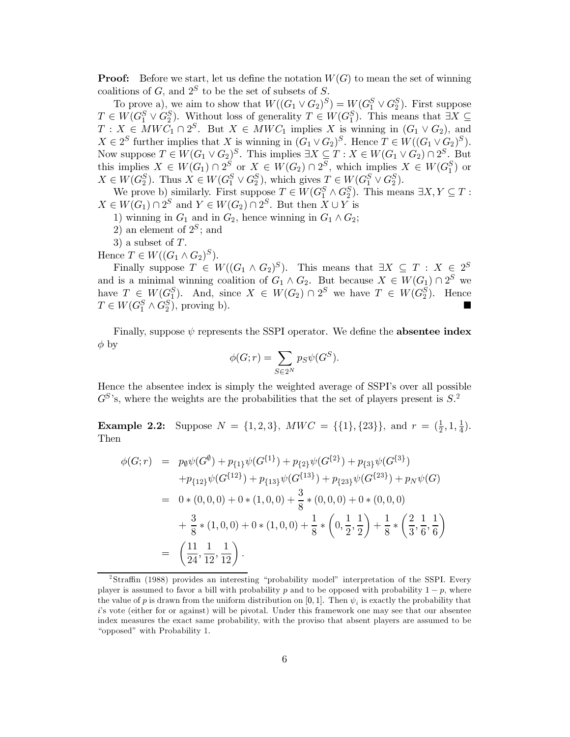**Proof:** Before we start, let us define the notation  $W(G)$  to mean the set of winning coalitions of  $G$ , and  $2^S$  to be the set of subsets of S.

To prove a), we aim to show that  $W((G_1 \vee G_2)^S) = W(G_1^S \vee G_2^S)$ . First suppose  $T \in W(G_1^S \vee G_2^S)$ . Without loss of generality  $T \in W(G_1^S)$ . This means that  $\exists X \subseteq T : X \in MWC_1 \cap 2^S$ . But  $X \in MWC_1$  implies X is winning in Now suppose  $T \in W(G_1 \vee G_2)^S$ . This implies  $\exists X \subseteq T : X \in W(G_1 \vee G_2) \cap 2^S$ . But<br>this implies  $X \in W(G_1) \cap 2^S$  or  $X \in W(G_2) \cap 2^S$ , which implies  $X \in W(G_1^S)$  or  $X \in W(G_2^S)$ . Thus  $X \in W(G_1^S \vee G_2^S)$ , which gives  $T \in W(G_1^S \vee G_2^S)$ .

We prove b) similarly. First suppose  $T \in W(G_1^S \wedge G_2^S)$ . This means  $\exists X, Y \subseteq T$ :  $X \in W(G_1) \cap 2^S$  and  $Y \in W(G_2) \cap 2^S$ . But then  $X \cup Y$  is

1) winning in  $G_1$  and in  $G_2$ , hence winning in  $G_1 \wedge G_2$ ;

2) an element of  $2^S$ ; and

3) a subset of  $T$ .

Hence  $T \in W((G_1 \wedge G_2)^S)$ .

Finally suppose  $T \in W((G_1 \wedge G_2)^S)$ . This means that  $\exists X \subseteq T : X \in 2^S$ and is a minimal winning coalition of  $G_1 \wedge G_2$ . But because  $X \in W(G_1) \cap 2^S$  we<br>have  $T \in W(G_1^S)$ . And, since  $X \in W(G_2) \cap 2^S$  we have  $T \in W(G_2^S)$ . Hence<br> $T \in W(G_1^S \wedge G_2^S)$ , proving b).

Finally, suppose  $\psi$  represents the SSPI operator. We define the **absentee index**  $\phi$  by

$$
\phi(G;r) = \sum_{S \in 2^N} p_S \psi(G^S).
$$

Hence the absentee index is simply the weighted average of SSPI's over all possible  $G^{S}$ 's, where the weights are the probabilities that the set of players present is  $S^2$ .

**Example 2.2:** Suppose  $N = \{1, 2, 3\}$ ,  $MWC = \{\{1\}, \{23\}\}\$ , and  $r = \left(\frac{1}{2}, 1, \frac{1}{4}\right)$ . Then

$$
\begin{split}\n\phi(G;r) &= p_{\emptyset}\psi(G^{\emptyset}) + p_{\{1\}}\psi(G^{\{1\}}) + p_{\{2\}}\psi(G^{\{2\}}) + p_{\{3\}}\psi(G^{\{3\}}) \\
&\quad + p_{\{12\}}\psi(G^{\{12\}}) + p_{\{13\}}\psi(G^{\{13\}}) + p_{\{23\}}\psi(G^{\{23\}}) + p_N\psi(G) \\
&= 0 * (0,0,0) + 0 * (1,0,0) + \frac{3}{8} * (0,0,0) + 0 * (0,0,0) \\
&\quad + \frac{3}{8} * (1,0,0) + 0 * (1,0,0) + \frac{1}{8} * \left(0, \frac{1}{2}, \frac{1}{2}\right) + \frac{1}{8} * \left(\frac{2}{3}, \frac{1}{6}, \frac{1}{6}\right) \\
&= \left(\frac{11}{24}, \frac{1}{12}, \frac{1}{12}\right).\n\end{split}
$$

 $\textdegree$ Straffin (1988) provides an interesting "probability model" interpretation of the SSPI. Every player is assumed to favor a bill with probability p and to be opposed with probability  $1-p$ , where the value of p is drawn from the uniform distribution on [0, 1]. Then  $\psi_i$  is exactly the probability that i's vote (either for or against) will be pivotal. Under this framework one may see that our absentee index measures the exact same probability, with the proviso that absent players are assumed to be "opposed" with Probability 1.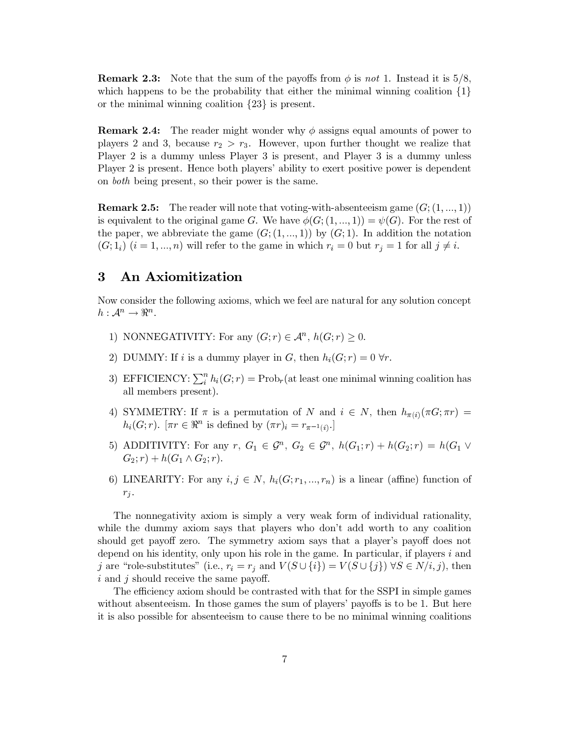**Remark 2.3:** Note that the sum of the payoffs from  $\phi$  is not 1. Instead it is 5/8, which happens to be the probability that either the minimal winning coalition  $\{1\}$ or the minimal winning coalition  $\{23\}$  is present.

**Remark 2.4:** The reader might wonder why  $\phi$  assigns equal amounts of power to players 2 and 3, because  $r_2 > r_3$ . However, upon further thought we realize that Player 2 is a dummy unless Player 3 is present, and Player 3 is a dummy unless Player 2 is present. Hence both players' ability to exert positive power is dependent on *both* being present, so their power is the same.

**Remark 2.5:** The reader will note that voting-with-absenteeism game  $(G; (1, ..., 1))$ is equivalent to the original game G. We have  $\phi(G; (1, ..., 1)) = \psi(G)$ . For the rest of the paper, we abbreviate the game  $(G; (1, ..., 1))$  by  $(G; 1)$ . In addition the notation  $(G; 1_i)$   $(i = 1, ..., n)$  will refer to the game in which  $r_i = 0$  but  $r_j = 1$  for all  $j \neq i$ .

#### 3 An Axiomitization

Now consider the following axioms, which we feel are natural for any solution concept  $h: \mathcal{A}^n \to \mathbb{R}^n$ .

- 1) NONNEGATIVITY: For any  $(G; r) \in \mathcal{A}^n$ ,  $h(G; r) > 0$ .
- 2) DUMMY: If i is a dummy player in G, then  $h_i(G; r) = 0 \,\forall r$ .
- 3) EFFICIENCY:  $\sum_{i}^{n} h_i(G; r) = \text{Prob}_r(\text{at least one minimal winning coalition has})$ all members present).
- 4) SYMMETRY: If  $\pi$  is a permutation of N and  $i \in N$ , then  $h_{\pi(i)}(\pi G; \pi r) =$  $h_i(G;r)$ .  $[\pi r \in \Re^n$  is defined by  $(\pi r)_i = r_{\pi^{-1}(i)}$ .
- 5) ADDITIVITY: For any  $r, G_1 \in \mathcal{G}^n, G_2 \in \mathcal{G}^n, h(G_1; r) + h(G_2; r) = h(G_1 \vee$  $G_2; r) + h(G_1 \wedge G_2; r).$
- 6) LINEARITY: For any  $i, j \in N$ ,  $h_i(G; r_1, ..., r_n)$  is a linear (affine) function of  $r_j$ .

The nonnegativity axiom is simply a very weak form of individual rationality, while the dummy axiom says that players who don't add worth to any coalition should get payoff zero. The symmetry axiom says that a player's payoff does not depend on his identity, only upon his role in the game. In particular, if players  $i$  and j are "role-substitutes" (i.e.,  $r_i = r_j$  and  $V(S \cup \{i\}) = V(S \cup \{j\}) \forall S \in N/i, j$ ), then  $i$  and  $j$  should receive the same payoff.

The efficiency axiom should be contrasted with that for the SSPI in simple games without absenteeism. In those games the sum of players' payoffs is to be 1. But here it is also possible for absenteeism to cause there to be no minimal winning coalitions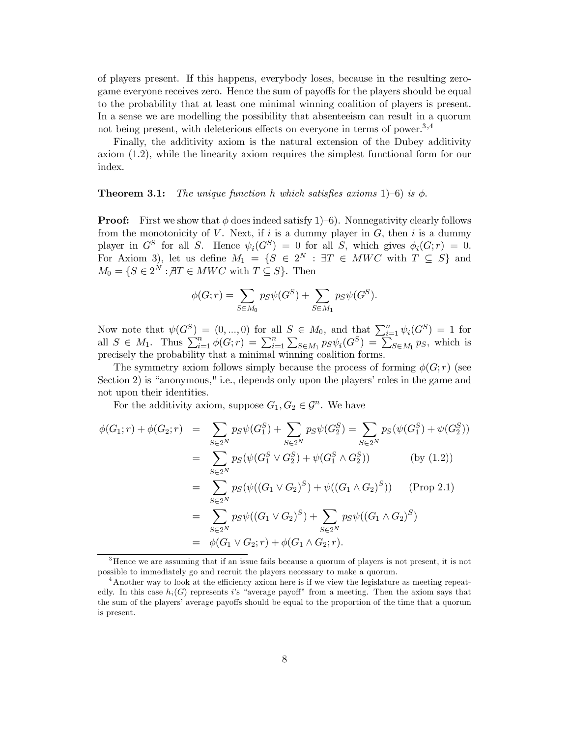of players present. If this happens, everybody loses, because in the resulting zerogame everyone receives zero. Hence the sum of payoffs for the players should be equal to the probability that at least one minimal winning coalition of players is present. In a sense we are modelling the possibility that absentees is can result in a quorum not being present, with deleterious effects on everyone in terms of power.<sup>3,4</sup>

Finally, the additivity axiom is the natural extension of the Dubey additivity axiom  $(1.2)$ , while the linearity axiom requires the simplest functional form for our index.

#### The unique function h which satisfies axioms 1)–6) is  $\phi$ . Theorem 3.1:

**Proof:** First we show that  $\phi$  does indeed satisfy 1–6). Nonnegativity clearly follows from the monotonicity of V. Next, if i is a dummy player in G, then i is a dummy player in  $G^S$  for all S. Hence  $\psi_i(G^S) = 0$  for all S, which gives  $\phi_i(G; r) = 0$ . For Axiom 3), let us define  $M_1 = \{S \in 2^N : \exists T \in MWC \text{ with } T \subseteq S\}$  and  $M_0 = \{S \in 2^N : \exists T \in MWC \text{ with } T \subseteq S\}$ . Then

$$
\phi(G;r) = \sum_{S \in M_0} p_S \psi(G^S) + \sum_{S \in M_1} p_S \psi(G^S).
$$

Now note that  $\psi(G^S) = (0, ..., 0)$  for all  $S \in M_0$ , and that  $\sum_{i=1}^n \psi_i(G^S) = 1$  for all  $S \in M_1$ . Thus  $\sum_{i=1}^n \phi(G; r) = \sum_{i=1}^n \sum_{S \in M_1} p_S \psi_i(G^S) = \sum_{S \in M_1} p_S$ , which is precisely the probability that a minimal winning

The symmetry axiom follows simply because the process of forming  $\phi(G; r)$  (see Section 2) is "anonymous," i.e., depends only upon the players' roles in the game and not upon their identities.

For the additivity axiom, suppose  $G_1, G_2 \in \mathcal{G}^n$ . We have

$$
\phi(G_1; r) + \phi(G_2; r) = \sum_{S \in 2^N} p_S \psi(G_1^S) + \sum_{S \in 2^N} p_S \psi(G_2^S) = \sum_{S \in 2^N} p_S(\psi(G_1^S) + \psi(G_2^S))
$$
  
\n
$$
= \sum_{S \in 2^N} p_S(\psi(G_1^S \vee G_2^S) + \psi(G_1^S \wedge G_2^S)) \qquad \text{(by (1.2))}
$$
  
\n
$$
= \sum_{S \in 2^N} p_S(\psi((G_1 \vee G_2)^S) + \psi((G_1 \wedge G_2)^S)) \qquad \text{(Prop 2.1)}
$$
  
\n
$$
= \sum_{S \in 2^N} p_S \psi((G_1 \vee G_2)^S) + \sum_{S \in 2^N} p_S \psi((G_1 \wedge G_2)^S)
$$
  
\n
$$
= \phi(G_1 \vee G_2; r) + \phi(G_1 \wedge G_2; r).
$$

 ${}^{3}$ Hence we are assuming that if an issue fails because a quorum of players is not present, it is not possible to immediately go and recruit the players necessary to make a quorum.

<sup>&</sup>lt;sup>4</sup> Another way to look at the efficiency axiom here is if we view the legislature as meeting repeatedly. In this case  $h_i(G)$  represents i's "average payoff" from a meeting. Then the axiom says that the sum of the players' average payoffs should be equal to the proportion of the time that a quorum is present.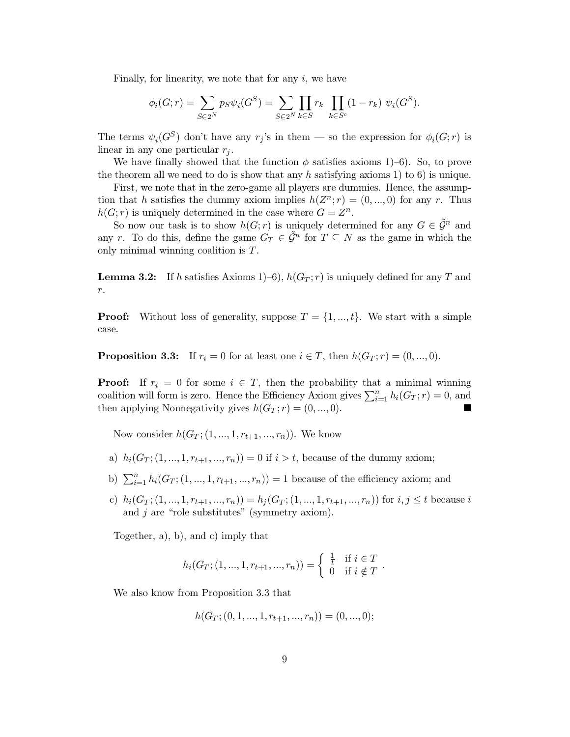Finally, for linearity, we note that for any  $i$ , we have

$$
\phi_i(G; r) = \sum_{S \in 2^N} p_S \psi_i(G^S) = \sum_{S \in 2^N} \prod_{k \in S} r_k \prod_{k \in S^c} (1 - r_k) \psi_i(G^S).
$$

The terms  $\psi_i(G^S)$  don't have any  $r_j$ 's in them — so the expression for  $\phi_i(G;r)$  is linear in any one particular  $r_i$ .

We have finally showed that the function  $\phi$  satisfies axioms 1–6). So, to prove the theorem all we need to do is show that any h satisfying axioms 1) to 6) is unique.

First, we note that in the zero-game all players are dummies. Hence, the assumption that h satisfies the dummy axiom implies  $h(Z^n; r) = (0, ..., 0)$  for any r. Thus  $h(G; r)$  is uniquely determined in the case where  $G = Z^n$ .

So now our task is to show  $h(G; r)$  is uniquely determined for any  $G \in \tilde{\mathcal{G}}^n$  and any r. To do this, define the game  $G_T \in \tilde{\mathcal{G}}^n$  for  $T \subseteq N$  as the game in which the only minimal winning coalition is  $T$ .

**Lemma 3.2:** If h satisfies Axioms 1–6),  $h(G_T; r)$  is uniquely defined for any T and  $r. \,$ 

Without loss of generality, suppose  $T = \{1, ..., t\}$ . We start with a simple Proof: case.

**Proposition 3.3:** If  $r_i = 0$  for at least one  $i \in T$ , then  $h(G_T; r) = (0, ..., 0)$ .

**Proof:** If  $r_i = 0$  for some  $i \in T$ , then the probability that a minimal winning coalition will form is zero. Hence the Efficiency Axiom gives  $\sum_{i=1}^{n} h_i(G_T; r) = 0$ , and then applying Nonnegativity gives  $h(G_T; r) = (0, ..., 0)$ .

Now consider  $h(G_T; (1, ..., 1, r_{t+1}, ..., r_n))$ . We know

- a)  $h_i(G_T; (1, ..., 1, r_{t+1}, ..., r_n)) = 0$  if  $i > t$ , because of the dummy axiom;
- b)  $\sum_{i=1}^{n} h_i(G_T; (1, ..., 1, r_{t+1}, ..., r_n)) = 1$  because of the efficiency axiom; and
- c)  $h_i(G_T; (1, ..., 1, r_{t+1}, ..., r_n)) = h_j(G_T; (1, ..., 1, r_{t+1}, ..., r_n))$  for  $i, j \le t$  because i and  $j$  are "role substitutes" (symmetry axiom).

Together,  $a$ ,  $b$ ,  $b$ , and  $c$ ) imply that

$$
h_i(G_T; (1, ..., 1, r_{t+1}, ..., r_n)) = \begin{cases} \frac{1}{t} & \text{if } i \in T \\ 0 & \text{if } i \notin T \end{cases}
$$

We also know from Proposition 3.3 that

$$
h(G_T; (0, 1, ..., 1, r_{t+1}, ..., r_n)) = (0, ..., 0);
$$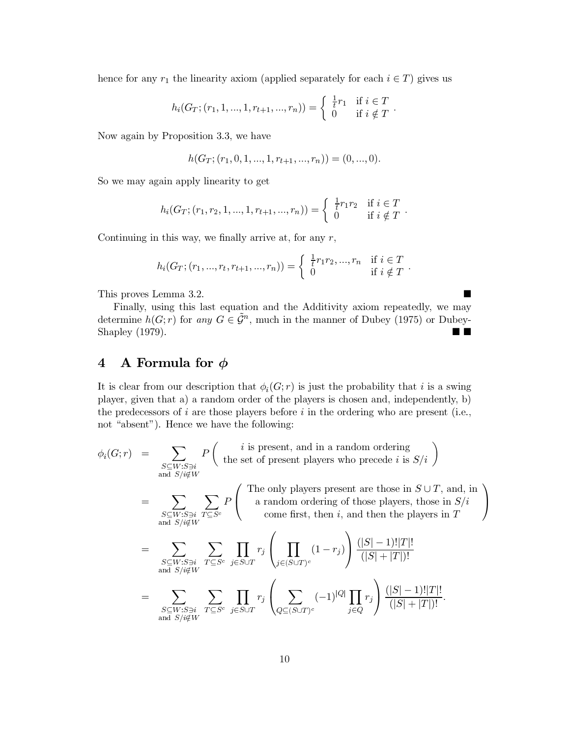hence for any  $r_1$  the linearity axiom (applied separately for each  $i \in T$ ) gives us

$$
h_i(G_T; (r_1, 1, ..., 1, r_{t+1}, ..., r_n)) = \begin{cases} \frac{1}{t}r_1 & \text{if } i \in T \\ 0 & \text{if } i \notin T \end{cases}.
$$

Now again by Proposition 3.3, we have

$$
h(G_T; (r_1, 0, 1, ..., 1, r_{t+1}, ..., r_n)) = (0, ..., 0).
$$

So we may again apply linearity to get

$$
h_i(G_T; (r_1, r_2, 1, ..., 1, r_{t+1}, ..., r_n)) = \begin{cases} \frac{1}{t} r_1 r_2 & \text{if } i \in T \\ 0 & \text{if } i \notin T \end{cases}.
$$

Continuing in this way, we finally arrive at, for any  $r$ ,

$$
h_i(G_T; (r_1, ..., r_t, r_{t+1}, ..., r_n)) = \begin{cases} \frac{1}{t} r_1 r_2, ..., r_n & \text{if } i \in T \\ 0 & \text{if } i \notin T \end{cases}.
$$

 $\blacksquare$ 

This proves Lemma 3.2.

Finally, using this last equation and the Additivity axiom repeatedly, we may determine  $h(G; r)$  for any  $G \in \tilde{\mathcal{G}}^n$ , much in the manner of Dubey (1975) or Dubey-Shapley (1979).  $\blacksquare$ 

#### A Formula for  $\phi$  $\overline{\mathbf{4}}$

It is clear from our description that  $\phi_i(G; r)$  is just the probability that i is a swing player, given that a) a random order of the players is chosen and, independently, b) the predecessors of  $i$  are those players before  $i$  in the ordering who are present (i.e., not "absent"). Hence we have the following:

$$
\phi_i(G;r) = \sum_{\substack{S \subseteq W:S \ni i \\ \text{and } S/i \notin W}} P\left(\begin{array}{c} i \text{ is present, and in a random ordering} \\ \text{the set of present players who precede } i \text{ is } S/i \end{array}\right)
$$

$$
= \sum_{\substack{S \subseteq W: S \ni i \\ \text{and } S/i \notin W}} \sum_{T \subseteq S^c} P \left( \begin{array}{c} \text{The only players present are those in } S \cup T, \text{ and, in} \\ \text{a random ordering of those players, those in } S/i \\ \text{come first, then } i, \text{ and then the players in } T \end{array} \right)
$$

$$
= \sum_{\substack{S \subseteq W:S \ni i \\ \text{and } S/i \notin W}} \sum_{T \subseteq S^c} \prod_{j \in S \cup T} r_j \left( \prod_{j \in (S \cup T)^c} (1 - r_j) \right) \frac{(|S| - 1)! |T|!}{(|S| + |T|)!}
$$

$$
= \sum_{\substack{S \subseteq W:S \ni i \\ \text{and } S/i \notin W}} \sum_{T \subseteq S^c} \prod_{j \in S \cup T} r_j \left( \sum_{Q \subseteq (S \cup T)^c} (-1)^{|Q|} \prod_{j \in Q} r_j \right) \frac{(|S| - 1)! |T|!}{(|S| + |T|)!}.
$$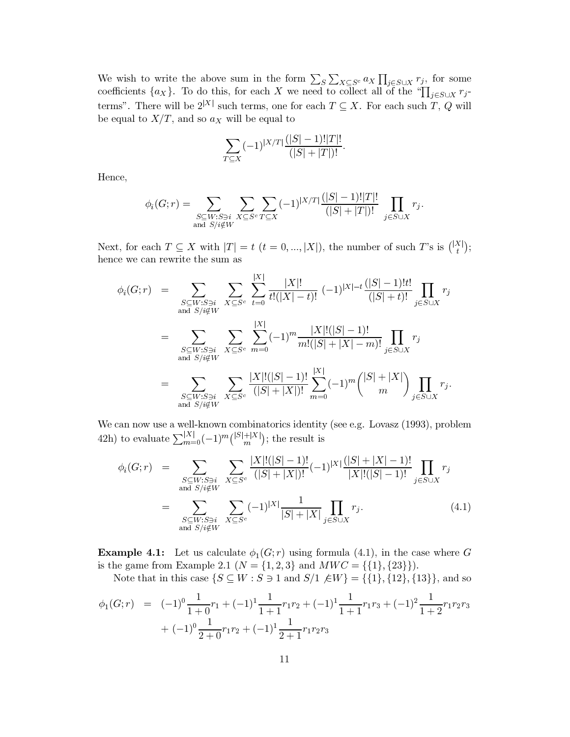We wish to write the above sum in the form  $\sum_{S} \sum_{X \subseteq S^c} a_X \prod_{j \in S \cup X} r_j$ , for some coefficients  $\{a_X\}$ . To do this, for each X we need to collect all of the " $\prod_{j \in S \cup X} r_j$ terms". There will be  $2^{|X|}$  such terms, one for each  $T \subseteq X$ . For each such T, Q will be equal to  $X/T$ , and so  $a_X$  will be equal to

$$
\sum_{T \subseteq X} (-1)^{|X/T|} \frac{(|S|-1)!|T|!}{(|S|+|T|)!}.
$$

Hence,

$$
\phi_i(G;r) = \sum_{\substack{S \subseteq W: S \ni i \\ \text{and } S/i \notin W}} \sum_{X \subseteq S^c} \sum_{T \subseteq X} (-1)^{|X/T|} \frac{(|S|-1)!|T|!}{(|S|+|T|)!} \prod_{j \in S \cup X} r_j.
$$

Next, for each  $T \subseteq X$  with  $|T| = t$   $(t = 0, ..., |X|)$ , the number of such T's is  $\binom{|X|}{t}$ ; hence we can rewrite the sum as

$$
\phi_i(G;r) = \sum_{\substack{S \subseteq W:S \ni i \\ \text{and } S/i \notin W}} \sum_{X \subseteq S^c} \sum_{t=0}^{|X|} \frac{|X|!}{t!(|X|-t)!} (-1)^{|X|-t} \frac{(|S|-1)!t!}{(|S|+t)!} \prod_{j \in S \cup X} r_j
$$
\n
$$
= \sum_{\substack{S \subseteq W:S \ni i \\ \text{and } S/i \notin W}} \sum_{X \subseteq S^c} \sum_{m=0}^{|X|} (-1)^m \frac{|X|!(|S|-1)!}{m!(|S|+|X|-m)!} \prod_{j \in S \cup X} r_j
$$
\n
$$
= \sum_{\substack{S \subseteq W:S \ni i \\ \text{and } S/i \notin W}} \sum_{X \subseteq S^c} \frac{|X|!(|S|-1)!}{(|S|+|X|)!} \sum_{m=0}^{|X|} (-1)^m {(|S|+|X| \choose m} \prod_{j \in S \cup X} r_j.
$$

We can now use a well-known combinatorics identity (see e.g. Lovasz (1993), problem 42h) to evaluate  $\sum_{m=0}^{|X|} (-1)^m {\binom{|S|+|X|}{m}}$ ; the result is

$$
\phi_i(G;r) = \sum_{\substack{S \subseteq W: S \ni i \\ \text{and } S/i \notin W}} \sum_{X \subseteq S^c} \frac{|X|!(|S|-1)!}{(|S|+|X|)!} (-1)^{|X|} \frac{(|S|+|X|-1)!}{|X|!(|S|-1)!} \prod_{j \in S \cup X} r_j
$$
\n
$$
= \sum_{\substack{S \subseteq W: S \ni i \\ \text{and } S/i \notin W}} \sum_{X \subseteq S^c} (-1)^{|X|} \frac{1}{|S|+|X|} \prod_{j \in S \cup X} r_j.
$$
\n(4.1)

**Example 4.1:** Let us calculate  $\phi_1(G; r)$  using formula (4.1), in the case where G is the game from Example 2.1 ( $N = \{1, 2, 3\}$  and  $MWC = \{\{1\}, \{23\}\}\.$ 

Note that in this case  $\{S \subseteq W : S \ni 1 \text{ and } S/1 \notin W\} = \{\{1\}, \{12\}, \{13\}\}\$ , and so

$$
\phi_1(G;r) = (-1)^0 \frac{1}{1+0} r_1 + (-1)^1 \frac{1}{1+1} r_1 r_2 + (-1)^1 \frac{1}{1+1} r_1 r_3 + (-1)^2 \frac{1}{1+2} r_1 r_2 r_3
$$
  
+ 
$$
(-1)^0 \frac{1}{2+0} r_1 r_2 + (-1)^1 \frac{1}{2+1} r_1 r_2 r_3
$$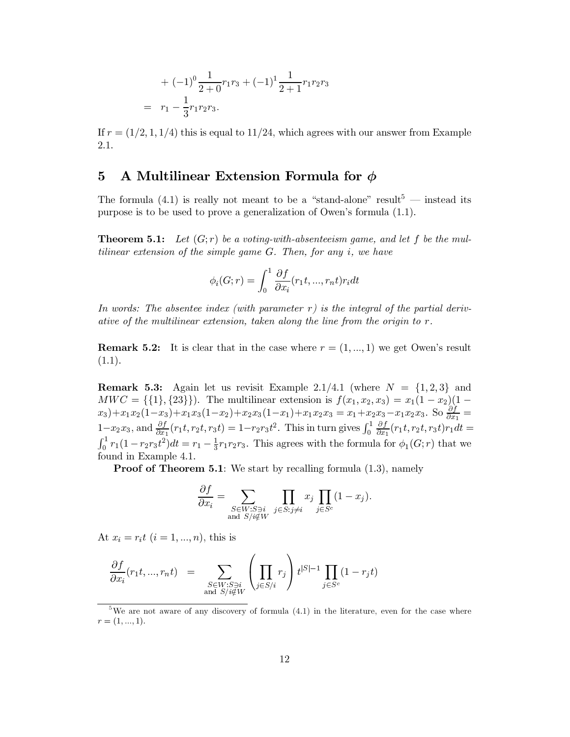+ 
$$
(-1)^0 \frac{1}{2+0} r_1 r_3 + (-1)^1 \frac{1}{2+1} r_1 r_2 r_3
$$
  
=  $r_1 - \frac{1}{3} r_1 r_2 r_3$ .

If  $r = (1/2, 1, 1/4)$  this is equal to 11/24, which agrees with our answer from Example 2.1.

#### A Multilinear Extension Formula for  $\phi$  $\mathbf{5}$

The formula (4.1) is really not meant to be a "stand-alone" result<sup>5</sup> — instead its purpose is to be used to prove a generalization of Owen's formula (1.1).

**Theorem 5.1:** Let  $(G; r)$  be a voting-with-absenteeism game, and let f be the multilinear extension of the simple game  $G$ . Then, for any i, we have

$$
\phi_i(G;r) = \int_0^1 \frac{\partial f}{\partial x_i}(r_1t, ..., r_nt)r_i dt
$$

In words: The absentee index (with parameter r) is the integral of the partial derivative of the multilinear extension, taken along the line from the origin to  $r$ .

**Remark 5.2:** It is clear that in the case where  $r = (1, ..., 1)$  we get Owen's result  $(1.1).$ 

**Remark 5.3:** Again let us revisit Example 2.1/4.1 (where  $N = \{1,2,3\}$  and  $MWC = \{\{1\}, \{23\}\}\$ . The multilinear extension is  $f(x_1, x_2, x_3) = x_1(1 - x_2)(1 - x_3)$  $x_3+x_1x_2(1-x_3)+x_1x_3(1-x_2)+x_2x_3(1-x_1)+x_1x_2x_3 = x_1+x_2x_3-x_1x_2x_3$ . So  $\frac{\partial f}{\partial x_1} =$ <br> $1-x_2x_3$ , and  $\frac{\partial f}{\partial x_1}(r_1t, r_2t, r_3t) = 1-r_2r_3t^2$ . This in turn gives  $\int_0^1 \frac{\partial f}{\partial x_1}(r_1t, r_2t, r_3t)r_1dt =$  $\int_0^1 r_1(1-r_2r_3t^2)dt = r_1 - \frac{1}{3}r_1r_2r_3.$  This agrees with the formula for  $\phi_1(G;r)$  that we found in Example 4.1.

**Proof of Theorem 5.1**: We start by recalling formula  $(1.3)$ , namely

$$
\frac{\partial f}{\partial x_i} = \sum_{\substack{S \in W: S \ni i \\ \text{and } S/i \notin W}} \prod_{j \in S: j \neq i} x_j \prod_{j \in S^c} (1 - x_j).
$$

At  $x_i = r_i t$   $(i = 1, ..., n)$ , this is

 $\sim$ 

$$
\frac{\partial f}{\partial x_i}(r_1t, ..., r_nt) = \sum_{\substack{S \in W: S \ni i \\ \text{and } S/i \notin W}} \left( \prod_{j \in S/i} r_j \right) t^{|S|-1} \prod_{j \in S^c} (1 - r_j t)
$$

<sup>&</sup>lt;sup>5</sup>We are not aware of any discovery of formula (4.1) in the literature, even for the case where  $r = (1, ..., 1).$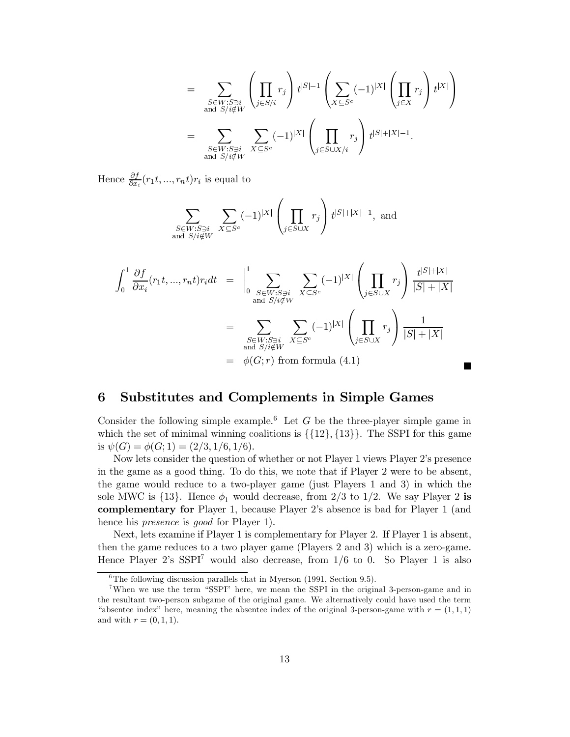$$
= \sum_{\substack{S \in W: S \ni i \\ \text{and } S/i \notin W}} \left( \prod_{j \in S/i} r_j \right) t^{|S|-1} \left( \sum_{X \subseteq S^c} (-1)^{|X|} \left( \prod_{j \in X} r_j \right) t^{|X|} \right)
$$
  

$$
= \sum_{\substack{S \in W: S \ni i \\ \text{and } S/i \notin W}} \sum_{X \subseteq S^c} (-1)^{|X|} \left( \prod_{j \in S \cup X/i} r_j \right) t^{|S|+|X|-1}.
$$

Hence  $\frac{\partial f}{\partial x_i}(r_1t, ..., r_nt)r_i$  is equal to

$$
\sum_{\substack{S \in W: S \ni i \\ \text{and } S/i \notin W}} \sum_{X \subseteq S^c} (-1)^{|X|} \left( \prod_{j \in S \cup X} r_j \right) t^{|S| + |X| - 1}, \text{ and}
$$

$$
\int_0^1 \frac{\partial f}{\partial x_i} (r_1 t, ..., r_n t) r_i dt = \Big|_0^1 \sum_{\substack{S \in W : S \ni i \\ \text{and } S / i \notin W}} \sum_{X \subseteq S^c} (-1)^{|X|} \left( \prod_{j \in S \cup X} r_j \right) \frac{t^{|S| + |X|}}{|S| + |X|}
$$

$$
= \sum_{\substack{S \in W : S \ni i \\ \text{and } S / i \notin W}} \sum_{X \subseteq S^c} (-1)^{|X|} \left( \prod_{j \in S \cup X} r_j \right) \frac{1}{|S| + |X|}
$$

$$
= \phi(G; r) \text{ from formula (4.1)}
$$

 $\blacksquare$ 

#### **Substitutes and Complements in Simple Games** 6

Consider the following simple example.<sup>6</sup> Let G be the three-player simple game in which the set of minimal winning coalitions is  $\{\{12\}, \{13\}\}\$ . The SSPI for this game is  $\psi(G) = \phi(G; 1) = (2/3, 1/6, 1/6).$ 

Now lets consider the question of whether or not Player 1 views Player 2's presence in the game as a good thing. To do this, we note that if Player 2 were to be absent, the game would reduce to a two-player game (just Players 1 and 3) in which the sole MWC is  $\{13\}$ . Hence  $\phi_1$  would decrease, from 2/3 to 1/2. We say Player 2 is **complementary for** Player 1, because Player 2's absence is bad for Player 1 (and hence his *presence* is *good* for Player 1).

Next, lets examine if Player 1 is complementary for Player 2. If Player 1 is absent, then the game reduces to a two player game (Players 2 and 3) which is a zero-game. Hence Player 2's  $SSPI^7$  would also decrease, from  $1/6$  to 0. So Player 1 is also

 ${}^{6}$ The following discussion parallels that in Myerson (1991, Section 9.5).

<sup>&</sup>lt;sup>7</sup>When we use the term "SSPI" here, we mean the SSPI in the original 3-person-game and in the resultant two-person subgame of the original game. We alternatively could have used the term "absentee index" here, meaning the absentee index of the original 3-person-game with  $r = (1,1,1)$ and with  $r = (0, 1, 1)$ .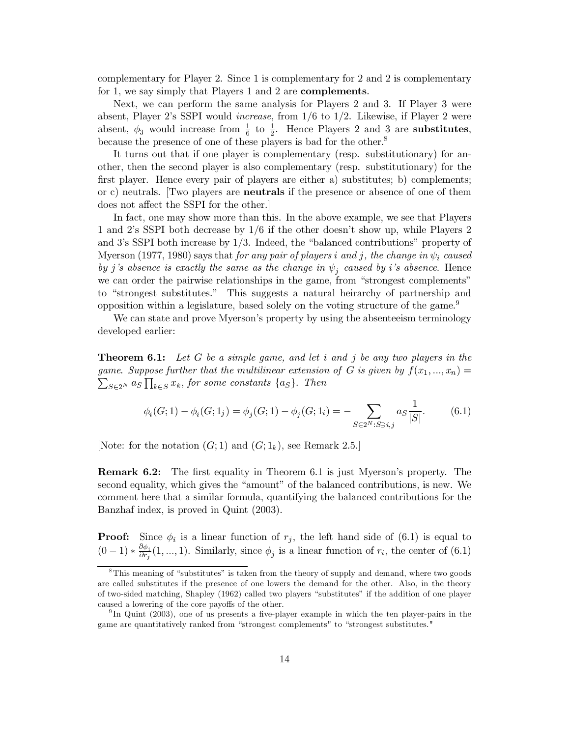complementary for Player 2. Since 1 is complementary for 2 and 2 is complementary for 1, we say simply that Players 1 and 2 are **complements**.

Next, we can perform the same analysis for Players 2 and 3. If Player 3 were absent, Player 2's SSPI would *increase*, from  $1/6$  to  $1/2$ . Likewise, if Player 2 were absent,  $\phi_3$  would increase from  $\frac{1}{6}$  to  $\frac{1}{2}$ . Hence Players 2 and 3 are substitutes, because the presence of one of these players is bad for the other.<sup>8</sup>

It turns out that if one player is complementary (resp. substitutionary) for another, then the second player is also complementary (resp. substitutionary) for the first player. Hence every pair of players are either a) substitutes; b) complements; or c) neutrals. Two players are **neutrals** if the presence or absence of one of them does not affect the SSPI for the other.

In fact, one may show more than this. In the above example, we see that Players 1 and 2's SSPI both decrease by 1/6 if the other doesn't show up, while Players 2 and 3's SSPI both increase by  $1/3$ . Indeed, the "balanced contributions" property of Myerson (1977, 1980) says that for any pair of players i and j, the change in  $\psi_i$  caused by j's absence is exactly the same as the change in  $\psi_i$  caused by i's absence. Hence we can order the pairwise relationships in the game, from "strongest complements" to "strongest substitutes." This suggests a natural heirarchy of partnership and opposition within a legislature, based solely on the voting structure of the game.<sup>9</sup>

We can state and prove Myerson's property by using the absenteeism terminology developed earlier:

**Theorem 6.1:** Let G be a simple game, and let i and j be any two players in the game. Suppose further that the multilinear extension of G is given by  $f(x_1,...,x_n) =$  $\sum_{S \in 2^N} a_S \prod_{k \in S} x_k$ , for some constants  $\{a_S\}$ . Then

$$
\phi_i(G; 1) - \phi_i(G; 1_j) = \phi_j(G; 1) - \phi_j(G; 1_i) = -\sum_{S \in 2^N : S \ni i, j} a_S \frac{1}{|S|}.
$$
 (6.1)

[Note: for the notation  $(G; 1)$  and  $(G; 1_k)$ , see Remark 2.5.]

**Remark 6.2:** The first equality in Theorem 6.1 is just Myerson's property. The second equality, which gives the "amount" of the balanced contributions, is new. We comment here that a similar formula, quantifying the balanced contributions for the Banzhaf index, is proved in Quint (2003).

**Proof:** Since  $\phi_i$  is a linear function of  $r_j$ , the left hand side of (6.1) is equal to  $(0-1)*\frac{\partial \phi_i}{\partial r_i}(1,...,1)$ . Similarly, since  $\phi_j$  is a linear function of  $r_i$ , the center of (6.1)

 ${}^8$ This meaning of "substitutes" is taken from the theory of supply and demand, where two goods are called substitutes if the presence of one lowers the demand for the other. Also, in the theory of two-sided matching, Shapley (1962) called two players "substitutes" if the addition of one player caused a lowering of the core payoffs of the other.

<sup>&</sup>lt;sup>9</sup>In Quint (2003), one of us presents a five-player example in which the ten player-pairs in the game are quantitatively ranked from "strongest complements" to "strongest substitutes."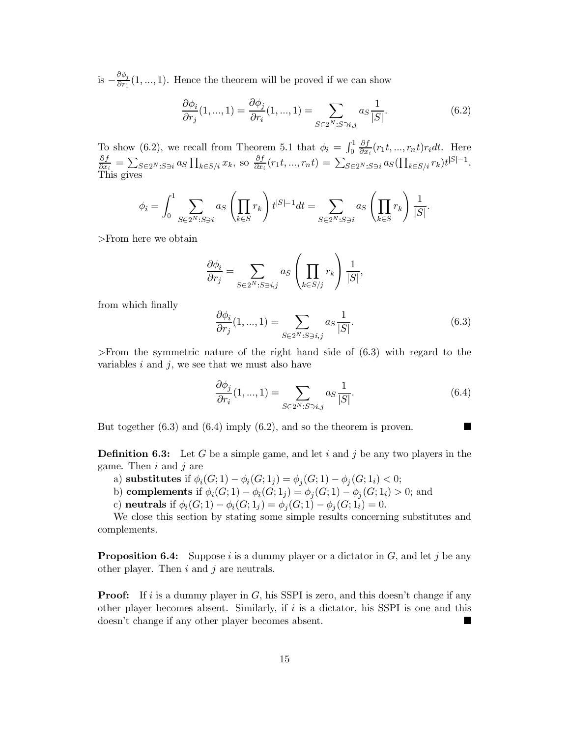is  $-\frac{\partial \phi_j}{\partial r_1}(1, ..., 1)$ . Hence the theorem will be proved if we can show

$$
\frac{\partial \phi_i}{\partial r_j}(1, ..., 1) = \frac{\partial \phi_j}{\partial r_i}(1, ..., 1) = \sum_{S \in 2^N : S \ni i, j} a_S \frac{1}{|S|}.
$$
 (6.2)

To show (6.2), we recall from Theorem 5.1 that  $\phi_i = \int_0^1 \frac{\partial f}{\partial x_i}(r_1 t, ..., r_n t) r_i dt$ . Here  $\frac{\partial f}{\partial x_i} = \sum_{S \in 2^N : S \ni i} a_S \prod_{k \in S/i} x_k$ , so  $\frac{\partial f}{\partial x_i}(r_1 t, ..., r_n t) = \sum_{S \in 2^N : S \ni i} a_S (\prod_{k \in S/i} r_k) t^{|S|-1}$ .<br>This gives

$$
\phi_i = \int_0^1 \sum_{S \in 2^N : S \ni i} a_S \left( \prod_{k \in S} r_k \right) t^{|S| - 1} dt = \sum_{S \in 2^N : S \ni i} a_S \left( \prod_{k \in S} r_k \right) \frac{1}{|S|}.
$$

 $>$ From here we obtain

$$
\frac{\partial \phi_i}{\partial r_j} = \sum_{S \in 2^N : S \ni i,j} a_S \left( \prod_{k \in S/j} r_k \right) \frac{1}{|S|},
$$

from which finally

$$
\frac{\partial \phi_i}{\partial r_j}(1, ..., 1) = \sum_{S \in 2^N : S \ni i, j} a_S \frac{1}{|S|}.
$$
 (6.3)

>From the symmetric nature of the right hand side of  $(6.3)$  with regard to the variables  $i$  and  $j$ , we see that we must also have

$$
\frac{\partial \phi_j}{\partial r_i}(1, ..., 1) = \sum_{S \in 2^N : S \ni i, j} a_S \frac{1}{|S|}.
$$
\n(6.4)

But together  $(6.3)$  and  $(6.4)$  imply  $(6.2)$ , and so the theorem is proven.

**Definition 6.3:** Let G be a simple game, and let i and j be any two players in the game. Then  $i$  and  $j$  are

- a) substitutes if  $\phi_i(G; 1) \phi_i(G; 1_j) = \phi_i(G; 1) \phi_i(G; 1_i) < 0;$
- b) complements if  $\phi_i(G; 1) \phi_i(G; 1_j) = \phi_i(G; 1) \phi_i(G; 1_i) > 0$ ; and
- c) neutrals if  $\phi_i(G; 1) \phi_i(G; 1_j) = \phi_i(G; 1) \phi_i(G; 1_i) = 0.$

We close this section by stating some simple results concerning substitutes and complements.

**Proposition 6.4:** Suppose i is a dummy player or a dictator in  $G$ , and let j be any other player. Then  $i$  and  $j$  are neutrals.

**Proof:** If i is a dummy player in G, his SSPI is zero, and this doesn't change if any other player becomes absent. Similarly, if  $i$  is a dictator, his SSPI is one and this doesn't change if any other player becomes absent.  $\blacksquare$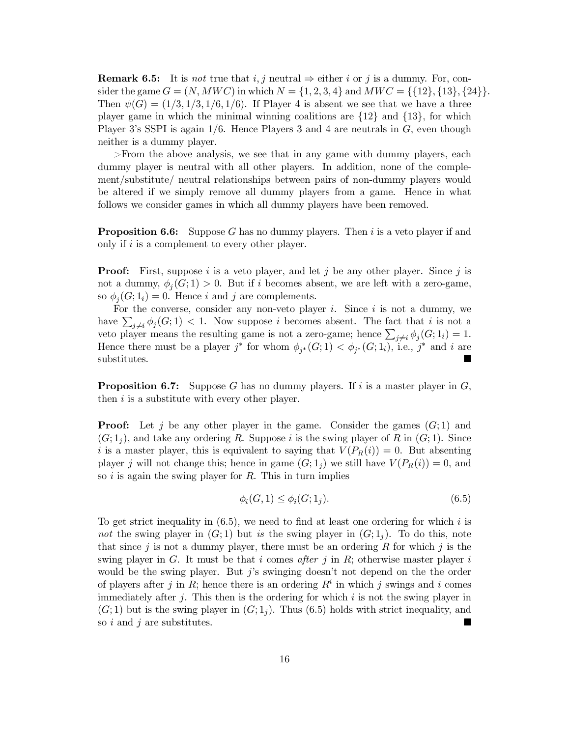**Remark 6.5:** It is not true that i, j neutral  $\Rightarrow$  either i or j is a dummy. For, consider the game  $G = (N, MWC)$  in which  $N = \{1, 2, 3, 4\}$  and  $MWC = \{\{12\}, \{13\}, \{24\}\}.$ Then  $\psi(G) = (1/3, 1/3, 1/6, 1/6)$ . If Player 4 is absent we see that we have a three player game in which the minimal winning coalitions are  $\{12\}$  and  $\{13\}$ , for which Player 3's SSPI is again  $1/6$ . Hence Players 3 and 4 are neutrals in G, even though neither is a dummy player.

>From the above analysis, we see that in any game with dummy players, each dummy player is neutral with all other players. In addition, none of the complement/substitute/ neutral relationships between pairs of non-dummy players would be altered if we simply remove all dummy players from a game. Hence in what follows we consider games in which all dummy players have been removed.

**Proposition 6.6:** Suppose  $G$  has no dummy players. Then  $i$  is a veto player if and only if  $i$  is a complement to every other player.

**Proof:** First, suppose i is a veto player, and let j be any other player. Since j is not a dummy,  $\phi_i(G; 1) > 0$ . But if i becomes absent, we are left with a zero-game, so  $\phi_i(G; 1_i) = 0$ . Hence *i* and *j* are complements.

For the converse, consider any non-veto player  $i$ . Since  $i$  is not a dummy, we have  $\sum_{i\neq i}\phi_i(G;1)$  < 1. Now suppose i becomes absent. The fact that i is not a veto player means the resulting game is not a zero-game; hence  $\sum_{j\neq i} \phi_j(G; 1_i) = 1$ . Hence there must be a player j<sup>\*</sup> for whom  $\phi_{i^*}(G; 1) < \phi_{i^*}(G; 1_i)$ , i.e., j<sup>\*</sup> and i are substitutes.

**Proposition 6.7:** Suppose G has no dummy players. If i is a master player in  $G$ , then  $i$  is a substitute with every other player.

**Proof:** Let j be any other player in the game. Consider the games  $(G; 1)$  and  $(G; 1<sub>i</sub>)$ , and take any ordering R. Suppose i is the swing player of R in  $(G; 1)$ . Since i is a master player, this is equivalent to saying that  $V(P_R(i)) = 0$ . But absenting player j will not change this; hence in game  $(G; 1<sub>i</sub>)$  we still have  $V(P_R(i)) = 0$ , and so  $i$  is again the swing player for  $R$ . This in turn implies

$$
\phi_i(G, 1) \le \phi_i(G; 1_j). \tag{6.5}
$$

To get strict inequality in  $(6.5)$ , we need to find at least one ordering for which i is not the swing player in  $(G,1)$  but is the swing player in  $(G,1<sub>i</sub>)$ . To do this, note that since j is not a dummy player, there must be an ordering R for which j is the swing player in G. It must be that i comes after j in R; otherwise master player i would be the swing player. But  $j$ 's swinging doesn't not depend on the the order of players after j in R; hence there is an ordering  $R<sup>i</sup>$  in which j swings and i comes immediately after  $j$ . This then is the ordering for which i is not the swing player in  $(G; 1)$  but is the swing player in  $(G; 1<sub>i</sub>)$ . Thus (6.5) holds with strict inequality, and so i and j are substitutes. П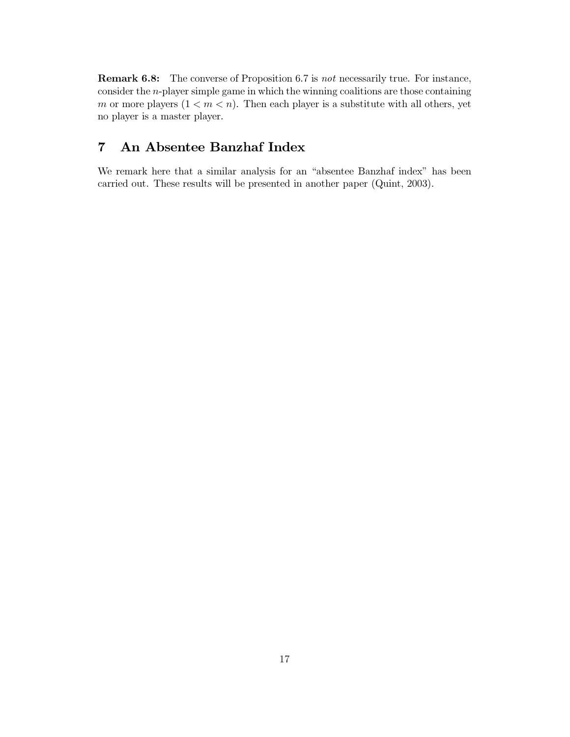**Remark 6.8:** The converse of Proposition 6.7 is not necessarily true. For instance, consider the  $n$ -player simple game in which the winning coalitions are those containing m or more players  $(1 < m < n)$ . Then each player is a substitute with all others, yet no player is a master player.

#### An Absentee Banzhaf Index  $\overline{7}$

We remark here that a similar analysis for an "absentee Banzhaf index" has been carried out. These results will be presented in another paper (Quint, 2003).